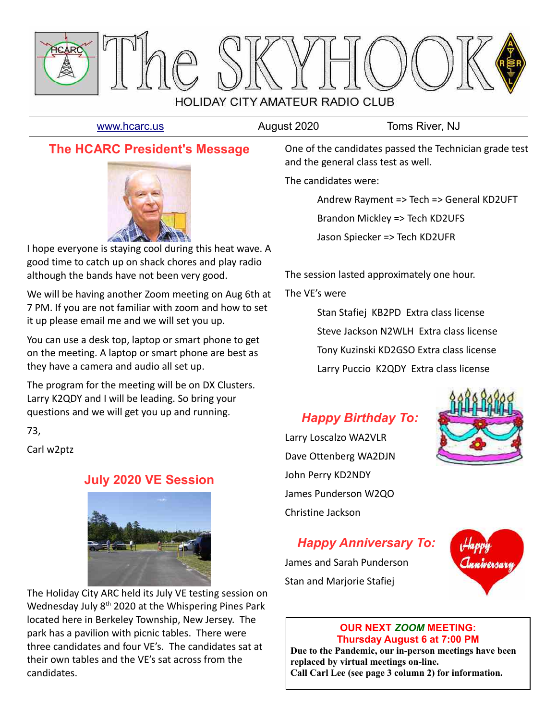

[www.hcarc.us](http://www.hcarc.us/) **August 2020** Toms River, NJ

## **The HCARC President's Message**



I hope everyone is staying cool during this heat wave. A good time to catch up on shack chores and play radio although the bands have not been very good.

We will be having another Zoom meeting on Aug 6th at 7 PM. If you are not familiar with zoom and how to set it up please email me and we will set you up.

You can use a desk top, laptop or smart phone to get on the meeting. A laptop or smart phone are best as they have a camera and audio all set up.

The program for the meeting will be on DX Clusters. Larry K2QDY and I will be leading. So bring your questions and we will get you up and running.

73,

Carl w2ptz

## **July 2020 VE Session**



The Holiday City ARC held its July VE testing session on Wednesday July 8<sup>th</sup> 2020 at the Whispering Pines Park located here in Berkeley Township, New Jersey. The park has a pavilion with picnic tables. There were three candidates and four VE's. The candidates sat at their own tables and the VE's sat across from the candidates.

One of the candidates passed the Technician grade test and the general class test as well.

The candidates were:

Andrew Rayment => Tech => General KD2UFT

Brandon Mickley => Tech KD2UFS

Jason Spiecker => Tech KD2UFR

The session lasted approximately one hour.

The VE's were

Stan Stafiej KB2PD Extra class license Steve Jackson N2WLH Extra class license Tony Kuzinski KD2GSO Extra class license Larry Puccio K2QDY Extra class license

# *Happy Birthday To:*

Larry Loscalzo WA2VLR Dave Ottenberg WA2DJN John Perry KD2NDY James Punderson W2QO Christine Jackson



## *Happy Anniversary To:*

James and Sarah Punderson Stan and Marjorie Stafiej



#### **OUR NEXT** *ZOOM* **MEETING: Thursday August 6 at 7:00 PM**

**Due to the Pandemic, our in-person meetings have been replaced by virtual meetings on-line. Call Carl Lee (see page 3 column 2) for information.**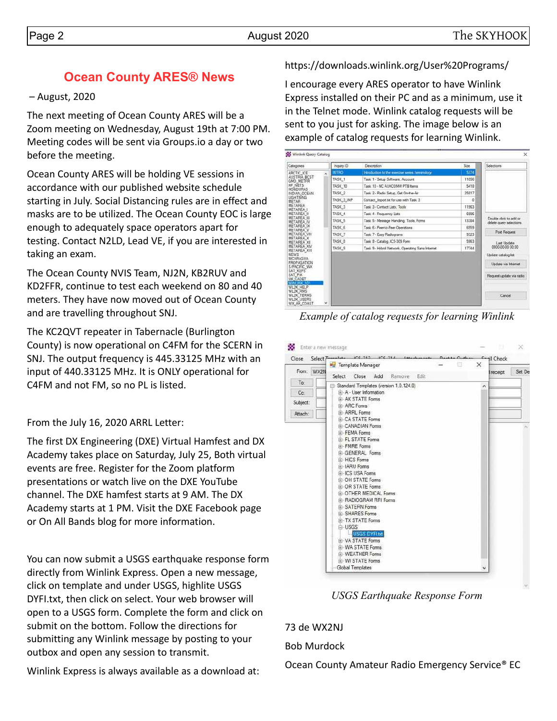## **Ocean County ARES® News**

– August, 2020

The next meeting of Ocean County ARES will be a Zoom meeting on Wednesday, August 19th at 7:00 PM. Meeting codes will be sent via Groups.io a day or two before the meeting.

Ocean County ARES will be holding VE sessions in accordance with our published website schedule starting in July. Social Distancing rules are in effect and masks are to be utilized. The Ocean County EOC is large enough to adequately space operators apart for testing. Contact N2LD, Lead VE, if you are interested in taking an exam.

The Ocean County NVIS Team, NJ2N, KB2RUV and KD2FFR, continue to test each weekend on 80 and 40 meters. They have now moved out of Ocean County and are travelling throughout SNJ.

The KC2QVT repeater in Tabernacle (Burlington County) is now operational on C4FM for the SCERN in SNJ. The output frequency is 445.33125 MHz with an input of 440.33125 MHz. It is ONLY operational for C4FM and not FM, so no PL is listed.

From the July 16, 2020 ARRL Letter:

The first DX Engineering (DXE) Virtual Hamfest and DX Academy takes place on Saturday, July 25, Both virtual events are free. Register for the Zoom platform presentations or watch live on the DXE YouTube channel. The DXE hamfest starts at 9 AM. The DX Academy starts at 1 PM. Visit the DXE Facebook page or On All Bands blog for more information.

You can now submit a USGS earthquake response form directly from Winlink Express. Open a new message, click on template and under USGS, highlite USGS DYFI.txt, then click on select. Your web browser will open to a USGS form. Complete the form and click on submit on the bottom. Follow the directions for submitting any Winlink message by posting to your outbox and open any session to transmit.

Winlink Express is always available as a download at:

### https://downloads.winlink.org/User%20Programs/

I encourage every ARES operator to have Winlink Express installed on their PC and as a minimum, use it in the Telnet mode. Winlink catalog requests will be sent to you just for asking. The image below is an example of catalog requests for learning Winlink.

| Categories                                                      | Inquiry ID        | <b>Description</b>                               | S26   | Selections                                         |
|-----------------------------------------------------------------|-------------------|--------------------------------------------------|-------|----------------------------------------------------|
| ARCTIC ICE                                                      | <b>INTRO</b><br>۸ | Introduction to the exercise series, terminology | 5374  |                                                    |
| AUSTRIA BCST<br>GMD METER                                       | TASK <sub>1</sub> | Task 1 - Setup Software, Account.                | 11056 |                                                    |
| HF NETS<br><b>HONDURAS</b>                                      | TASK 10           | Task 10 - NC AUXCOMM PTS hemit                   | 5418  |                                                    |
| INDIAN OCEAN                                                    | TASK <sub>2</sub> | Task 2 - Radio Setup, Get On the Air             | 25817 |                                                    |
| <b>LIGHTNING</b><br>METAR                                       | TASK 3 IMP        | Contact Import to for use with Task 3            | o     |                                                    |
| <b>METAREA</b><br>METAREA 1                                     | TASK <sub>3</sub> | Task 3 - Contact Lists: Tools                    | 11963 |                                                    |
| METAREA II                                                      | TASK 4            | Task 4 - Frequency Lists                         | 6996  |                                                    |
| METAREA III<br><b>METAREA IV</b>                                | TASK <sub>5</sub> | Task 5 - Message Handing, Tools, Forms           | 13384 | Double click to add or<br>delete query selections. |
| METAREA IX<br><b>METAREA V</b>                                  | TASK 6            | Task 6 - Peerto-Peer Operations                  | 6559  |                                                    |
| METAREA VIII                                                    | TASK 7            | Task 7 - Easy Radiograms                         | 9323  | <b>Post Request</b>                                |
| METAREA X<br>METAREA XII.                                       | TASK B            | Task 8 - Catalog, ICS-309 Form                   | 5963  | Last Uodate                                        |
| METAREA XIV<br>METAREA XVI                                      | TASK <sub>9</sub> | Task 9 - Hybrid Network, Operating Sans Internet | 17744 | 0000-00-00 00:00                                   |
| <b>NEWS</b><br>NICARAGUA                                        |                   |                                                  |       | Update catalog list                                |
| PROPAGATION<br>S/PACIFIC WX                                     |                   |                                                  |       | Update via Internet                                |
| SAT KEPS<br>SAT PIX<br>UK CADET<br>WINLINK-101                  |                   |                                                  |       | Request update via radio                           |
| WL2K HELP<br>WL2K RMS<br><b>WL2K TERMS</b><br><b>WLZK USERS</b> |                   |                                                  |       | Cancel                                             |

*Example of catalog requests for learning Winlink*

| Close      | Select Terministe ICC 313 ICC 314 Associate<br>Template Manager | $D = +1 - D + 1$ | × | <b>E-all Check</b> |        |
|------------|-----------------------------------------------------------------|------------------|---|--------------------|--------|
| From: WX2N | Edit<br>Select<br>Close<br>Add<br>Remove                        |                  |   | receipt            | Set De |
| To:        | Standard Templates (version 1.0.124.0)                          |                  | ۸ |                    |        |
| Cc:        | (4) A - User Information                                        |                  |   |                    |        |
| Subject:   | <b>IF AK STATE Forms</b>                                        |                  |   |                    |        |
|            | <b>E</b> ARC Forms                                              |                  |   |                    |        |
| Attach:    | <b>G</b> ARRL Forms<br><b>G</b> CA STATE Forms                  |                  |   |                    |        |
|            | <b>EL CANADIAN Forms</b>                                        |                  |   |                    |        |
|            | FEMA Forms                                                      |                  |   |                    |        |
|            | <b>FL STATE Forms</b>                                           |                  |   |                    |        |
|            | F-FMRE Forms                                                    |                  |   |                    |        |
|            | <b>GENERAL Forms</b>                                            |                  |   |                    |        |
|            | 角-HICS Forms                                                    |                  |   |                    |        |
|            | (4) IARU Forms                                                  |                  |   |                    |        |
|            | F-ICS USA Forms                                                 |                  |   |                    |        |
|            | <b>G. OH STATE Forms</b>                                        |                  |   |                    |        |
|            | <b>IF OR STATE Forms</b><br><b>GI-OTHER MEDICAL Forms</b>       |                  |   |                    |        |
|            | <b>FRADIOGRAM RRI Forms</b>                                     |                  |   |                    |        |
|            | G SATERN Forms                                                  |                  |   |                    |        |
|            | <b>F-SHARES Forms</b>                                           |                  |   |                    |        |
|            | <b>E-TX STATE Forms</b>                                         |                  |   |                    |        |
|            | L- USGS                                                         |                  |   |                    |        |
|            | <b>USGS DYFLM</b>                                               |                  |   |                    |        |
|            | <b>EL VA STATE Forms</b>                                        |                  |   |                    |        |
|            | <b>GI-WA STATE Forms</b>                                        |                  |   |                    |        |
|            | <b>(4) WEATHER Forms</b>                                        |                  |   |                    |        |
|            | G. WI STATE Forms                                               |                  |   |                    |        |
|            | Global Templates                                                |                  |   |                    |        |

*USGS Earthquake Response Form*

73 de WX2NJ Bob Murdock

Ocean County Amateur Radio Emergency Service® EC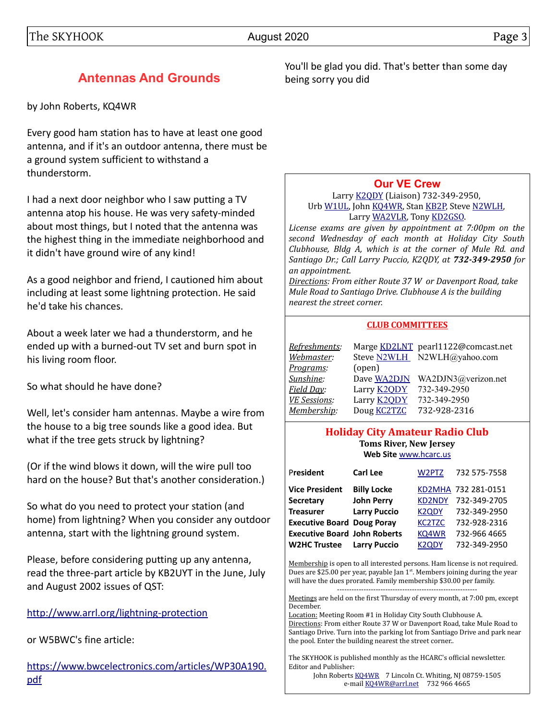## **Antennas And Grounds**

by John Roberts, KQ4WR

Every good ham station has to have at least one good antenna, and if it's an outdoor antenna, there must be a ground system sufficient to withstand a thunderstorm.

I had a next door neighbor who I saw putting a TV antenna atop his house. He was very safety-minded about most things, but I noted that the antenna was the highest thing in the immediate neighborhood and it didn't have ground wire of any kind!

As a good neighbor and friend, I cautioned him about including at least some lightning protection. He said he'd take his chances.

About a week later we had a thunderstorm, and he ended up with a burned-out TV set and burn spot in his living room floor.

So what should he have done?

Well, let's consider ham antennas. Maybe a wire from the house to a big tree sounds like a good idea. But what if the tree gets struck by lightning?

(Or if the wind blows it down, will the wire pull too hard on the house? But that's another consideration.)

So what do you need to protect your station (and home) from lightning? When you consider any outdoor antenna, start with the lightning ground system.

Please, before considering putting up any antenna, read the three-part article by KB2UYT in the June, July and August 2002 issues of QST:

<http://www.arrl.org/lightning-protection>

or W5BWC's fine article:

[https://www.bwcelectronics.com/articles/WP30A190.](https://www.bwcelectronics.com/articles/WP30A190.pdf) [pdf](https://www.bwcelectronics.com/articles/WP30A190.pdf)

You'll be glad you did. That's better than some day being sorry you did

#### **[Our VE Crew](mailto:lpuccio1@comcast.net?subject=VE)**

Larry [K2QDY](mailto:lpuccio071@gmail.com) (Liaison) 732-349-2950, Urb [W1UL,](mailto:urb@W1UL.com) John [KQ4WR,](mailto:kq4wr@arrl.net) Stan [KB2P,](mailto:kb2pd@hotmail.com) Steve [N2WLH,](mailto:n2wlh@yahoo.com) Larry [WA2VLR,](mailto:lloscalz@optonline.net) Tony [KD2GSO.](mailto:tonyk613@comcast.net)

*License exams are given by appointment at 7:00pm on the second Wednesday of each month at Holiday City South Clubhouse, Bldg A, which is at the corner of Mule Rd. and Santiago Dr.; Call Larry Puccio, K2QDY, at 732-349-2950 for an appointment.* 

*Directions: From either Route 37 W or Davenport Road, take Mule Road to Santiago Drive. Clubhouse A is the building nearest the street corner.*

#### **CLUB COMMITTEES**

| Refreshments:       |                    | Marge KD2LNT pearl1122@comcast.net |
|---------------------|--------------------|------------------------------------|
| Webmaster:          |                    | Steve N2WLH N2WLH@yahoo.com        |
| <u>Programs</u> :   | (open)             |                                    |
| Sunshine:           | Dave WA2DJN        | WA2DJN3@verizon.net                |
| Field Day:          | Larry <b>K2QDY</b> | 732-349-2950                       |
| <b>VE Sessions:</b> | Larry <b>K2QDY</b> | 732-349-2950                       |
| Membership:         | Doug <b>KC2TZC</b> | 732-928-2316                       |

#### **Holiday City Amateur Radio Club Toms River, New Jersey Web Site** [www.hcarc.us](http://www.hcarc.us/)

| President                           | <b>Carl Lee</b>     | W2PTZ         | 732 575-7558        |
|-------------------------------------|---------------------|---------------|---------------------|
| <b>Vice President</b>               | <b>Billy Locke</b>  |               | KD2MHA 732 281-0151 |
| <b>Secretary</b>                    | <b>John Perry</b>   | <b>KD2NDY</b> | 732-349-2705        |
| <b>Treasurer</b>                    | <b>Larry Puccio</b> | <b>K2QDY</b>  | 732-349-2950        |
| <b>Executive Board Doug Poray</b>   |                     | <b>KC2TZC</b> | 732-928-2316        |
| <b>Executive Board John Roberts</b> |                     | KQ4WR         | 732-966 4665        |
| <b>W2HC Trustee</b>                 | <b>Larry Puccio</b> | K2QDY         | 732-349-2950        |

Membership is open to all interested persons. Ham license is not required. Dues are \$25.00 per year, payable Jan  $1<sup>st</sup>$ . Members joining during the year will have the dues prorated. Family membership \$30.00 per family.

---------------------------------------------------------- Meetings are held on the first Thursday of every month, at 7:00 pm, except December.

Location: Meeting Room #1 in Holiday City South Clubhouse A. Directions: From either Route 37 W or Davenport Road, take Mule Road to Santiago Drive. Turn into the parking lot from Santiago Drive and park near the pool. Enter the building nearest the street corner..

The SKYHOOK is published monthly as the HCARC's official newsletter. Editor and Publisher:

John Roberts [KQ4WR](mailto:kq4wr@arrl.net) 7 Lincoln Ct. Whiting, NJ 08759-1505 e-mail [KQ4WR@arrl.net](mailto:KQ4WR@arrl.net) 732 966 4665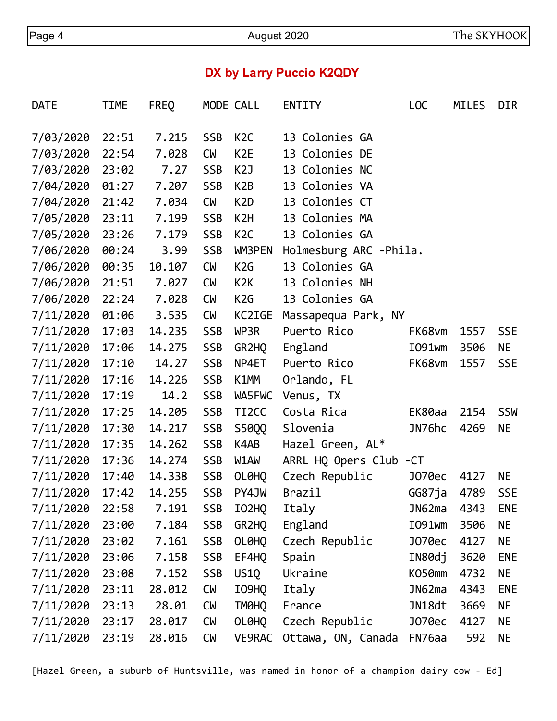# **DX by Larry Puccio K2QDY**

| <b>DATE</b> | TIME  | <b>FREQ</b> |            | MODE CALL          | <b>ENTITY</b>          | L <sub>OC</sub> | <b>MILES</b> | <b>DIR</b> |
|-------------|-------|-------------|------------|--------------------|------------------------|-----------------|--------------|------------|
| 7/03/2020   | 22:51 | 7.215       | <b>SSB</b> | K <sub>2</sub> C   | 13 Colonies GA         |                 |              |            |
| 7/03/2020   | 22:54 | 7.028       | <b>CM</b>  | K <sub>2</sub> E   | 13 Colonies DE         |                 |              |            |
| 7/03/2020   | 23:02 | 7.27        | <b>SSB</b> | K <sub>2</sub> J   | 13 Colonies NC         |                 |              |            |
| 7/04/2020   | 01:27 | 7.207       | <b>SSB</b> | K2B                | 13 Colonies VA         |                 |              |            |
| 7/04/2020   | 21:42 | 7.034       | <b>CM</b>  | K <sub>2</sub> D   | 13 Colonies CT         |                 |              |            |
| 7/05/2020   | 23:11 | 7.199       | <b>SSB</b> | K2H                | 13 Colonies MA         |                 |              |            |
| 7/05/2020   | 23:26 | 7.179       | <b>SSB</b> | K <sub>2</sub> C   | 13 Colonies GA         |                 |              |            |
| 7/06/2020   | 00:24 | 3.99        | <b>SSB</b> | <b>WM3PEN</b>      | Holmesburg ARC -Phila. |                 |              |            |
| 7/06/2020   | 00:35 | 10.107      | <b>CM</b>  | K2G                | 13 Colonies GA         |                 |              |            |
| 7/06/2020   | 21:51 | 7.027       | <b>CM</b>  | K <sub>2</sub> K   | 13 Colonies NH         |                 |              |            |
| 7/06/2020   | 22:24 | 7.028       | <b>CM</b>  | K2G                | 13 Colonies GA         |                 |              |            |
| 7/11/2020   | 01:06 | 3.535       | <b>CM</b>  | KC2IGE             | Massapequa Park, NY    |                 |              |            |
| 7/11/2020   | 17:03 | 14.235      | <b>SSB</b> | WP3R               | Puerto Rico            | FK68vm          | 1557         | <b>SSE</b> |
| 7/11/2020   | 17:06 | 14.275      | <b>SSB</b> | GR2HQ              | England                | I091wm          | 3506         | NE         |
| 7/11/2020   | 17:10 | 14.27       | <b>SSB</b> | NP4ET              | Puerto Rico            | FK68vm          | 1557         | <b>SSE</b> |
| 7/11/2020   | 17:16 | 14.226      | <b>SSB</b> | K1MM               | Orlando, FL            |                 |              |            |
| 7/11/2020   | 17:19 | 14.2        | <b>SSB</b> | WA5FWC             | Venus, TX              |                 |              |            |
| 7/11/2020   | 17:25 | 14.205      | <b>SSB</b> | TI <sub>2</sub> CC | Costa Rica             | EK80aa          | 2154         | <b>SSW</b> |
| 7/11/2020   | 17:30 | 14.217      | <b>SSB</b> | S50QQ              | Slovenia               | JN76hc          | 4269         | NE.        |
| 7/11/2020   | 17:35 | 14.262      | <b>SSB</b> | K4AB               | Hazel Green, AL*       |                 |              |            |
| 7/11/2020   | 17:36 | 14.274      | <b>SSB</b> | W1AW               | ARRL HQ Opers Club -CT |                 |              |            |
| 7/11/2020   | 17:40 | 14.338      | <b>SSB</b> | OL0HQ              | Czech Republic         | J070ec          | 4127         | NE.        |
| 7/11/2020   | 17:42 | 14.255      | <b>SSB</b> | PY4JW              | Brazil                 | GG87ja          | 4789         | <b>SSE</b> |
| 7/11/2020   | 22:58 | 7.191       | <b>SSB</b> | IO2HQ              | Italy                  | JN62ma          | 4343         | <b>ENE</b> |
| 7/11/2020   | 23:00 | 7.184       | <b>SSB</b> | GR2HQ              | England                | I091wm          | 3506         | NE         |
| 7/11/2020   | 23:02 | 7.161       | <b>SSB</b> | OL0HQ              | Czech Republic         | J070ec          | 4127         | ΝE         |
| 7/11/2020   | 23:06 | 7.158       | <b>SSB</b> | EF4HQ              | Spain                  | IN80dj          | 3620         | <b>ENE</b> |
| 7/11/2020   | 23:08 | 7.152       | <b>SSB</b> | US1Q               | Ukraine                | KO50mm          | 4732         | ΝE         |
| 7/11/2020   | 23:11 | 28.012      | <b>CM</b>  | I09HQ              | Italy                  | JN62ma          | 4343         | <b>ENE</b> |
| 7/11/2020   | 23:13 | 28.01       | <b>CM</b>  | TM0HQ              | France                 | JN18dt          | 3669         | ΝE         |
| 7/11/2020   | 23:17 | 28.017      | <b>CM</b>  | OL0HQ              | Czech Republic         | J070ec          | 4127         | NE         |
| 7/11/2020   | 23:19 | 28.016      | <b>CM</b>  | <b>VE9RAC</b>      | Ottawa, ON, Canada     | FN76aa          | 592          | NE         |

[Hazel Green, a suburb of Huntsville, was named in honor of a champion dairy cow - Ed]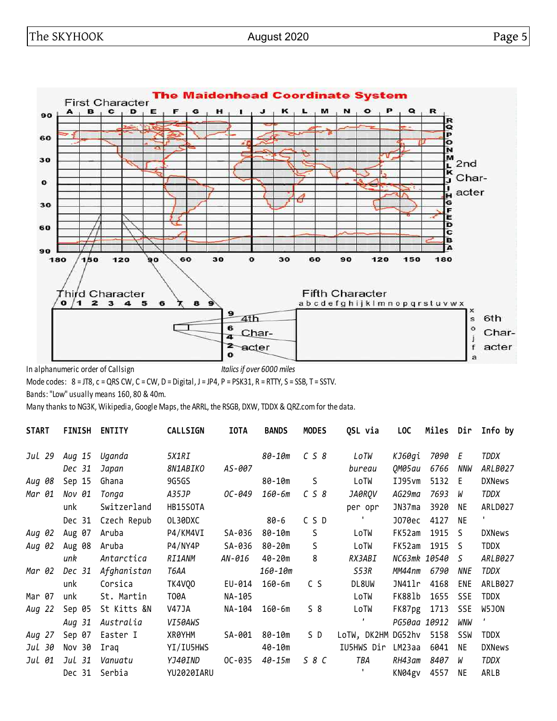

In alphanumeric order of Callsign *Italics if over 6000 miles*

Mode codes:  $8 = JTS$ ,  $c = QRS CW$ ,  $C = CW$ ,  $D = Digital$ ,  $J = JP4$ ,  $P = PSK31$ ,  $R = RTTY$ ,  $S = SSB$ ,  $T = SSTV$ .

Bands: "Low" usually means 160, 80 & 40m.

Many thanks to NG3K, Wikipedia, Google Maps, the ARRL, the RSGB, DXW, TDDX & QRZ.com for the data.

| <b>START</b> | <b>FINISH</b> | <b>ENTITY</b> | <b>CALLSIGN</b> | <b>IOTA</b> | <b>BANDS</b> | <b>MODES</b> | QSL via            | <b>LOC</b>   | Miles Dir |            | Info by                   |
|--------------|---------------|---------------|-----------------|-------------|--------------|--------------|--------------------|--------------|-----------|------------|---------------------------|
| Jul 29       | Aug 15        | Uganda        | 5X1RI           |             | 80-10m       | C S 8        | LoTW               | КЈ60ді       | 7090 E    |            | TDDX                      |
|              | Dec 31        | Japan         | 8N1ABIKO        | AS-007      |              |              | bureau             | 0M05au       | 6766      | NNW        | ARLB027                   |
| Aug 08       | Sep 15        | Ghana         | 9G5GS           |             | 80-10m       | S            | LoTW               | IJ95vm       | 5132      | Ε          | <b>DXNews</b>             |
| Mar 01       | Nov 01        | Tonga         | A35JP           | OC-049      | $160 - 6m$   | C S 8        | JA0RQV             | AG29ma       | 7693      | W          | TDDX                      |
|              | unk           | Switzerland   | HB15SOTA        |             |              |              | per opr            | JN37ma       | 3920      | <b>NE</b>  | ARLD027                   |
|              | Dec 31        | Czech Repub   | OL30DXC         |             | $80 - 6$     | CSD          |                    | J070ec       | 4127      | <b>NE</b>  | $\mathbf{L}_{\mathbf{L}}$ |
| Aug 02       | Aug 07        | Aruba         | P4/KM4VI        | SA-036      | 80-10m       | S            | LoTW               | FK52am       | 1915 S    |            | <b>DXNews</b>             |
| Aug 02       | Aug 08        | Aruba         | P4/NY4P         | SA-036      | 80-20m       | S            | LoTW               | FK52am       | 1915 S    |            | <b>TDDX</b>               |
|              | unk           | Antarctica    | <i>RI1ANM</i>   | AN-016      | 40-20m       | 8            | RX3ABI             | NC63mk 10540 |           | S          | ARLB027                   |
| Mar 02       | Dec 31        | Afghanistan   | T6AA            |             | $160 - 10m$  |              | S53R               | MM44nm       | 6790      | NNE        | TDDX                      |
|              | unk           | Corsica       | <b>TK4V00</b>   | EU-014      | $160 - 6m$   | C S          | DL8UW              | JN41lr       | 4168      | ENE        | ARLB027                   |
| Mar 07       | unk           | St. Martin    | T00A            | NA-105      |              |              | LoTW               | FK881b       | 1655      | <b>SSE</b> | <b>TDDX</b>               |
| Aug 22       | Sep 05        | St Kitts &N   | V47JA           | NA-104      | 160-6m       | $S_8$        | LoTW               | FK87pg       | 1713      | <b>SSE</b> | W5JON                     |
|              | Aug 31        | Australia     | VI50AWS         |             |              |              |                    | PG50aa 10912 |           | WNW        |                           |
| Aug 27       | Sep 07        | Easter I      | XR0YHM          | SA-001      | 80-10m       | S D          | LoTW, DK2HM DG52hv |              | 5158      | SSW        | <b>TDDX</b>               |
| Jul 30       | Nov 30        | Iraq          | YI/IU5HWS       |             | $40 - 10m$   |              | IU5HWS Dir         | LM23aa       | 6041      | ΝE         | <b>DXNews</b>             |
| Jul 01       | Jul 31        | Vanuatu       | YJ40IND         | $OC-035$    | $40 - 15m$   | 58 C         | TBA                | RH43am       | 8407      | W          | <b>TDDX</b>               |
|              | Dec 31        | Serbia        | YU2020IARU      |             |              |              | т.                 | KN04gv       | 4557      | ΝE         | ARLB                      |